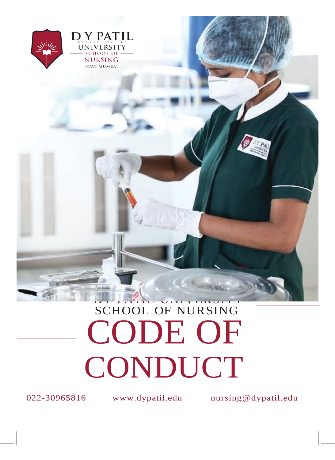

# SCHOOL OF NURSING CODE OF CONDUCT

022-30965816 www.dypatil.edu [nursing@dypatil.edu](mailto:nursing@dypatil.edu)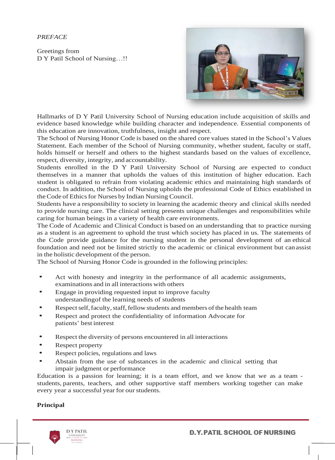*PREFACE*

Greetings from D Y Patil School of Nursing…!!



Hallmarks of D Y Patil University School of Nursing education include acquisition of skills and evidence based knowledge while building character and independence. Essential components of this education are innovation, truthfulness, insight and respect.

The School of Nursing Honor Code is based on the shared core values stated in the School's Values Statement. Each member of the School of Nursing community, whether student, faculty or staff, holds himself or herself and others to the highest standards based on the values of excellence, respect, diversity, integrity, and accountability.

Students enrolled in the D Y Patil University School of Nursing are expected to conduct themselves in a manner that upholds the values of this institution of higher education. Each student is obligated to refrain from violating academic ethics and maintaining high standards of conduct. In addition, the School of Nursing upholds the professional Code of Ethics established in the Code of Ethics for Nurses by Indian Nursing Council.

Students have a responsibility to society in learning the academic theory and clinical skills needed to provide nursing care. The clinical setting presents unique challenges and responsibilities while caring for human beings in a variety of health care environments.

The Code of Academic and Clinical Conduct is based on an understanding that to practice nursing as a student is an agreement to uphold the trust which society has placed in us. The statements of the Code provide guidance for the nursing student in the personal development of an ethical foundation and need not be limited strictly to the academic or clinical environment but can assist in the holistic development of the person.

The School of Nursing Honor Code is grounded in the following principles:

- Act with honesty and integrity in the performance of all academic assignments, examinations and in all interactions with others
- Engage in providing requested input to improve faculty understandingof the learning needs of students
- Respect self, faculty, staff, fellow students and members of the health team
- Respect and protect the confidentiality of information Advocate for patients' best interest
- Respect the diversity of persons encountered in all interactions
- Respect property
- Respect policies, regulations and laws
- Abstain from the use of substances in the academic and clinical setting that impair judgment or performance

Education is a passion for learning; it is a team effort, and we know that we as a team students, parents, teachers, and other supportive staff members working together can make every year a successful year for our students.

#### **Principal**

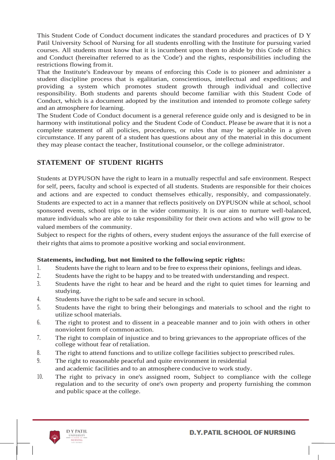This Student Code of Conduct document indicates the standard procedures and practices of D Y Patil University School of Nursing for all students enrolling with the Institute for pursuing varied courses. All students must know that it is incumbent upon them to abide by this Code of Ethics and Conduct (hereinafter referred to as the 'Code') and the rights, responsibilities including the restrictions flowing fromit.

That the Institute's Endeavour by means of enforcing this Code is to pioneer and administer a student discipline process that is egalitarian, conscientious, intellectual and expeditious; and providing a system which promotes student growth through individual and collective responsibility. Both students and parents should become familiar with this Student Code of Conduct, which is a document adopted by the institution and intended to promote college safety and an atmosphere for learning.

The Student Code of Conduct document is a general reference guide only and is designed to be in harmony with institutional policy and the Student Code of Conduct. Please be aware that it is not a complete statement of all policies, procedures, or rules that may be applicable in a given circumstance. If any parent of a student has questions about any of the material in this document they may please contact the teacher, Institutional counselor, or the college administrator.

#### **STATEMENT OF STUDENT RIGHTS**

Students at DYPUSON have the right to learn in a mutually respectful and safe environment. Respect for self, peers, faculty and school is expected of all students. Students are responsible for their choices and actions and are expected to conduct themselves ethically, responsibly, and compassionately. Students are expected to act in a manner that reflects positively on DYPUSON while at school, school sponsored events, school trips or in the wider community. It is our aim to nurture well-balanced, mature individuals who are able to take responsibility for their own actions and who will grow to be valued members of the community.

Subject to respect for the rights of others, every student enjoys the assurance of the full exercise of their rights that aims to promote a positive working and social environment.

#### **Statements, including, but not limited to the following septic rights:**

- 1. Students have the right to learn and to be free to expresstheir opinions, feelings and ideas.
- 2. Students have the right to be happy and to be treated with understanding and respect.
- 3. Students have the right to hear and be heard and the right to quiet times for learning and studying.
- 4. Students have the right to be safe and secure in school.
- 5. Students have the right to bring their belongings and materials to school and the right to utilize school materials.
- 6. The right to protest and to dissent in a peaceable manner and to join with others in other nonviolent form of common action.
- 7. The right to complain of injustice and to bring grievances to the appropriate offices of the college without fear of retaliation.
- 8. The right to attend functions and to utilize college facilities subject to prescribed rules.
- 9. The right to reasonable peaceful and quite environment in residential and academic facilities and to an atmosphere conducive to work study.
- 10. The right to privacy in one's assigned room, Subject to compliance with the college regulation and to the security of one's own property and property furnishing the common and public space at the college.

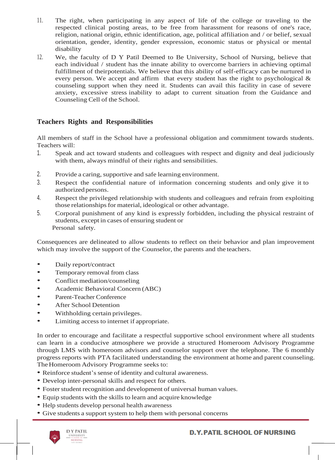- 11. The right, when participating in any aspect of life of the college or traveling to the respected clinical posting areas, to be free from harassment for reasons of one's race, religion, national origin, ethnic identification, age, political affiliation and / or belief, sexual orientation, gender, identity, gender expression, economic status or physical or mental disability
- 12. We, the faculty of D Y Patil Deemed to Be University, School of Nursing, believe that each individual / student has the innate ability to overcome barriers in achieving optimal fulfillment of theirpotentials. We believe that this ability of self-efficacy can be nurtured in every person. We accept and affirm that every student has the right to psychological & counseling support when they need it. Students can avail this facility in case of severe anxiety, excessive stress inability to adapt to current situation from the Guidance and Counseling Cell of the School.

## **Teachers Rights and Responsibilities**

All members of staff in the School have a professional obligation and commitment towards students. Teachers will:

- 1. Speak and act toward students and colleagues with respect and dignity and deal judiciously with them, always mindful of their rights and sensibilities.
- 2. Provide a caring, supportive and safe learning environment.
- 3. Respect the confidential nature of information concerning students and only give it to authorized persons.
- 4. Respect the privileged relationship with students and colleagues and refrain from exploiting those relationships for material, ideological or other advantage.
- 5. Corporal punishment of any kind is expressly forbidden, including the physical restraint of students, except in cases of ensuring student or Personal safety.

Consequences are delineated to allow students to reflect on their behavior and plan improvement which may involve the support of the Counselor, the parents and the teachers.

- Daily report/contract
- Temporary removal from class
- Conflict mediation/counseling
- Academic Behavioral Concern (ABC)
- Parent-Teacher Conference
- After School Detention
- Withholding certain privileges.
- Limiting access to internet if appropriate.

In order to encourage and facilitate a respectful supportive school environment where all students can learn in a conducive atmosphere we provide a structured Homeroom Advisory Programme through LMS with homeroom advisors and counselor support over the telephone. The 6 monthly progress reports with PTA facilitated understanding the environment at home and parent counseling. The Homeroom Advisory Programme seeks to:

- Reinforce student's sense of identity and cultural awareness.
- Develop inter-personal skills and respect for others.
- Foster student recognition and development of universal human values.
- Equip students with the skills to learn and acquire knowledge
- Help students develop personal health awareness
- Give students a support system to help them with personal concerns

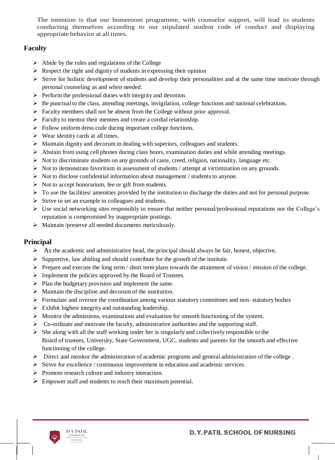The intention is that our homeroom programme, with counselor support, will lead to students conducting themselves according to our stipulated student code of conduct and displaying appropriate behavior at all times.

#### **Faculty**

- $\triangleright$  Abide by the rules and regulations of the College
- $\triangleright$  Respect the right and dignity of students in expressing their opinion
- $\triangleright$  Strive for holistic development of students and develop their personalities and at the same time motivate through personal counseling as and when needed.
- $\triangleright$  Perform the professional duties with integrity and devotion.
- $\triangleright$  Be punctual to the class, attending meetings, invigilation, college functions and national celebrations.
- $\triangleright$  Faculty members shall not be absent from the College without prior approval.
- $\triangleright$  Faculty to mentor their mentees and create a cordial relationship.
- $\triangleright$  Follow uniform dress code during important college functions.
- $\triangleright$  Wear identity cards at all times.
- $\triangleright$  Maintain dignity and decorum in dealing with superiors, colleagues and students.
- $\triangleright$  Abstain from using cell phones during class hours, examination duties and while attending meetings.
- $\triangleright$  Not to discriminate students on any grounds of caste, creed, religion, nationality, language etc.
- $\triangleright$  Not to demonstrate favoritism in assessment of students / attempt at victimization on any grounds.
- $\triangleright$  Not to disclose confidential information about management / students to anyone.
- $\triangleright$  Not to accept honorarium, fee or gift from students.
- $\triangleright$  To use the facilities/ amenities provided by the institution to discharge the duties and not for personal purpose.
- $\triangleright$  Strive to set an example to colleagues and students.
- $\triangleright$  Use social networking sites responsibly to ensure that neither personal/professional reputations nor the College's reputation is compromised by inappropriate postings.
- $\triangleright$  Maintain /preserve all needed documents meticulously.

#### **Principal**

- $\triangleright$  As the academic and administrative head, the principal should always be fair, honest, objective,
- $\triangleright$  Supportive, law abiding and should contribute for the growth of the institute.
- $\triangleright$  Prepare and execute the long term / short term plans towards the attainment of vision / mission of the college.
- $\triangleright$  Implement the policies approved by the Board of Trustees.
- $\triangleright$  Plan the budgetary provision and implement the same.
- $\triangleright$  Maintain the discipline and decorum of the institution.
- $\triangleright$  Formulate and oversee the coordination among various statutory committees and non-statutory bodies
- $\triangleright$  Exhibit highest integrity and outstanding leadership.
- $\triangleright$  Monitor the admissions, examinations and evaluation for smooth functioning of the system.
- $\triangleright$  Co-ordinate and motivate the faculty, administrative authorities and the supporting staff.
- $\triangleright$  She along with all the staff working under her is singularly and collectively responsible to the Board of trustees, University, State Government, UGC, students and parents for the smooth and effective functioning of the college.
- Direct and monitor the administration of academic programs and general administration of the college .
- $\triangleright$  Strive for excellence / continuous improvement in education and academic services.
- $\triangleright$  Promote research culture and industry interaction.
- $\triangleright$  Empower staff and students to reach their maximum potential.

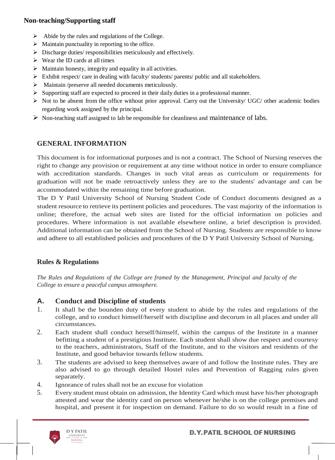#### **Non-teaching/Supporting staff**

- $\triangleright$  Abide by the rules and regulations of the College.
- $\triangleright$  Maintain punctuality in reporting to the office.
- $\triangleright$  Discharge duties/ responsibilities meticulously and effectively.
- $\triangleright$  Wear the ID cards at all times
- $\triangleright$  Maintain honesty, integrity and equality in all activities.
- $\triangleright$  Exhibit respect/ care in dealing with faculty/ students/ parents/ public and all stakeholders.
- Maintain /preserve all needed documents meticulously.
- $\triangleright$  Supporting staff are expected to proceed in their daily duties in a professional manner.
- $\triangleright$  Not to be absent from the office without prior approval. Carry out the University/ UGC/ other academic bodies regarding work assigned by the principal.
- $\triangleright$  Non-teaching staff assigned to lab be responsible for cleanliness and maintenance of labs.

# **GENERAL INFORMATION**

This document is for informational purposes and is not a contract. The School of Nursing reserves the right to change any provision or requirement at any time without notice in order to ensure compliance with accreditation standards. Changes in such vital areas as curriculum or requirements for graduation will not be made retroactively unless they are to the students' advantage and can be accommodated within the remaining time before graduation.

The D Y Patil University School of Nursing Student Code of Conduct documents designed as a student resource to retrieve its pertinent policies and procedures. The vast majority of the information is online; therefore, the actual web sites are listed for the official information on policies and procedures. Where information is not available elsewhere online, a brief description is provided. Additional information can be obtained from the School of Nursing. Students are responsible to know and adhere to all established policies and procedures of the D Y Patil University School of Nursing.

## **Rules & Regulations**

*The Rules and Regulations of the College are framed by the Management, Principal and faculty of the College to ensure a peaceful campus atmosphere.*

## **A. Conduct and Discipline of students**

- 1. It shall be the bounden duty of every student to abide by the rules and regulations of the college, and to conduct himself/herself with discipline and decorum in all places and under all circumstances.
- 2. Each student shall conduct herself/himself, within the campus of the Institute in a manner befitting a student of a prestigious Institute. Each student shall show due respect and courtesy to the teachers, administrators, Staff of the Institute, and to the visitors and residents of the Institute, and good behavior towards fellow students.
- 3. The students are advised to keep themselves aware of and follow the Institute rules. They are also advised to go through detailed Hostel rules and Prevention of Ragging rules given separately.
- 4. Ignorance of rules shall not be an excuse for violation
- 5. Every student must obtain on admission, the Identity Card which must have his/her photograph attested and wear the identity card on person whenever he/she is on the college premises and hospital, and present it for inspection on demand. Failure to do so would result in a fine of

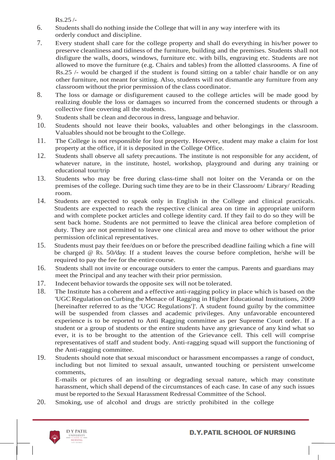Rs.25 /-

- 6. Studentsshall do nothing inside the College that will in any way interfere with its orderly conduct and discipline.
- 7. Every student shall care for the college property and shall do everything in his/her power to preserve cleanliness and tidiness of the furniture, building and the premises. Students shall not disfigure the walls, doors, windows, furniture etc. with bills, engraving etc. Students are not allowed to move the furniture (e.g. Chairs and tables) from the allotted classrooms. A fine of Rs.25 /- would be charged if the student is found sitting on a table/ chair handle or on any other furniture, not meant for sitting. Also, students will not dismantle any furniture from any classroom without the prior permission of the class coordinator.
- 8. The loss or damage or disfigurement caused to the college articles will be made good by realizing double the loss or damages so incurred from the concerned students or through a collective fine covering all the students.
- 9. Students shall be clean and decorous in dress, language and behavior.
- 10. Students should not leave their books, valuables and other belongings in the classroom. Valuables should not be brought to the College.
- 11. The College is not responsible for lost property. However, student may make a claim for lost property at the office, if it is deposited in the College Office.
- 12. Students shall observe all safety precautions. The institute is not responsible for any accident, of whatever nature, in the institute, hostel, workshop, playground and during any training or educational tour/trip
- 13. Students who may be free during class-time shall not loiter on the Veranda or on the premises of the college. During such time they are to be in their Classroom/ Library/ Reading room.
- 14. Students are expected to speak only in English in the College and clinical practicals. Students are expected to reach the respective clinical area on time in appropriate uniform and with complete pocket articles and college identity card. If they fail to do so they will be sent back home. Students are not permitted to leave the clinical area before completion of duty. They are not permitted to leave one clinical area and move to other without the prior permission ofclinical representatives.
- 15. Students must pay their fee/dues on or before the prescribed deadline failing which a fine will be charged @ Rs. 50/day. If a student leaves the course before completion, he/she will be required to pay the fee for the entire course.
- 16. Students shall not invite or encourage outsiders to enter the campus. Parents and guardians may meet the Principal and any teacher with their prior permission.
- 17. Indecent behavior towards the opposite sex will not be tolerated.
- 18. The Institute has a coherent and a effective anti-ragging policy in place which is based on the 'UGCRegulation on Curbing theMenace of Ragging in Higher Educational Institutions, 2009 [hereinafter referred to as the 'UGC Regulations']'. A student found guilty by the committee will be suspended from classes and academic privileges. Any unfavorable encountered experience is to be reported to Anti Ragging committee as per Supreme Court order. If a student or a group of students or the entire students have any grievance of any kind what so ever, it is to be brought to the attention of the Grievance cell. This cell will comprise representatives of staff and student body. Anti-ragging squad will support the functioning of the Anti-ragging committee.
- 19. Students should note that sexual misconduct or harassment encompasses a range of conduct, including but not limited to sexual assault, unwanted touching or persistent unwelcome comments,

E-mails or pictures of an insulting or degrading sexual nature, which may constitute harassment, which shall depend of the circumstances of each case. In case of any such issues must be reported to the Sexual Harassment Redressal Committee of the School.

20. Smoking, use of alcohol and drugs are strictly prohibited in the college

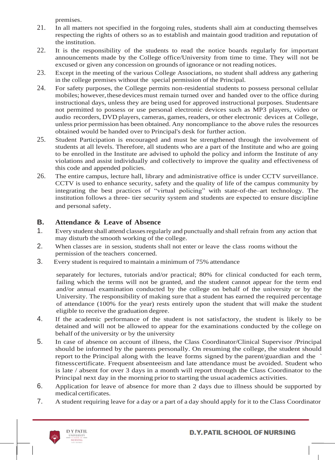premises.

- 21. In all matters not specified in the forgoing rules, students shall aim at conducting themselves respecting the rights of others so as to establish and maintain good tradition and reputation of the institution.
- 22. It is the responsibility of the students to read the notice boards regularly for important announcements made by the College office/University from time to time. They will not be excused or given any concession on grounds of ignorance or not reading notices.
- 23. Except in the meeting of the various College Associations, no student shall address any gathering in the college premises without the special permission of the Principal.
- 24. For safety purposes, the College permits non-residential students to possess personal cellular mobiles; however, these devices must remain turned over and handed over to the office during instructional days, unless they are being used for approved instructional purposes. Studentsare not permitted to possess or use personal electronic devices such as MP3 players, video or audio recorders, DVD players, cameras, games, readers, or other electronic devices at College, unless prior permission has been obtained. Any noncompliance to the above rules the resources obtained would be handed over to Principal's desk for further action.
- 25. Student Participation is encouraged and must be strengthened through the involvement of students at all levels. Therefore, all students who are a part of the Institute and who are going to be enrolled in the Institute are advised to uphold the policy and inform the Institute of any violations and assist individually and collectively to improve the quality and effectiveness of this code and appended policies.
- 26. The entire campus, lecture hall, library and administrative office is under CCTV surveillance. CCTV is used to enhance security, safety and the quality of life of the campus community by integrating the best practices of "virtual policing" with state-of-the–art technology. The institution follows a three- tier security system and students are expected to ensure discipline and personal safety.

## **B. Attendance & Leave of Absence**

- 1. Every student shall attend classes regularly and punctually and shall refrain from any action that may disturb the smooth working of the college.
- 2. When classes are in session, students shall not enter or leave the class rooms without the permission of the teachers concerned.
- 3. Every student is required to maintain a minimum of 75% attendance

separately for lectures, tutorials and/or practical; 80% for clinical conducted for each term, failing which the terms will not be granted, and the student cannot appear for the term end and/or annual examination conducted by the college on behalf of the university or by the University. The responsibility of making sure that a student has earned the required percentage of attendance (100% for the year) rests entirely upon the student that will make the student eligible to receive the graduation degree.

- 4. If the academic performance of the student is not satisfactory, the student is likely to be detained and will not be allowed to appear for the examinations conducted by the college on behalf of the university or by the university
- 5. In case of absence on account of illness, the Class Coordinator/Clinical Supervisor /Principal should be informed by the parents personally. On resuming the college, the student should report to the Principal along with the leave forms signed by the parent/guardian and the ` fitnesscertificate. Frequent absenteeism and late attendance must be avoided. Student who is late / absent for over 3 days in a month will report through the Class Coordinator to the Principal next day in the morning prior to starting the usual academics activities.
- 6. Application for leave of absence for more than 2 days due to illness should be supported by medical certificates.
- 7. A student requiring leave for a day or a part of a day should apply for it to the Class Coordinator

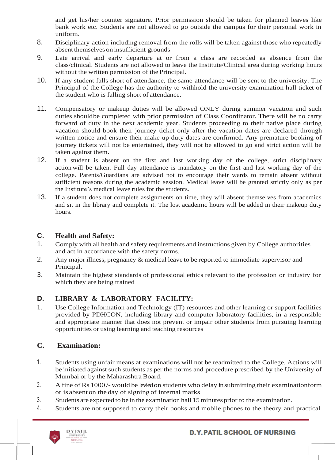and get his/her counter signature. Prior permission should be taken for planned leaves like bank work etc. Students are not allowed to go outside the campus for their personal work in uniform.

- 8. Disciplinary action including removal from the rolls will be taken against those who repeatedly absent themselves on insufficient grounds
- 9. Late arrival and early departure at or from a class are recorded as absence from the class/clinical. Students are not allowed to leave the Institute/Clinical area during working hours without the written permission of the Principal.
- 10. If any student falls short of attendance, the same attendance will be sent to the university. The Principal of the College has the authority to withhold the university examination hall ticket of the student who is falling short of attendance.
- 11. Compensatory or makeup duties will be allowed ONLY during summer vacation and such duties shouldbe completed with prior permission of Class Coordinator. There will be no carry forward of duty in the next academic year. Students proceeding to their native place during vacation should book their journey ticket only after the vacation dates are declared through written notice and ensure their make-up duty dates are confirmed. Any premature booking of journey tickets will not be entertained, they will not be allowed to go and strict action will be taken against them.
- 12. If a student is absent on the first and last working day of the college, strict disciplinary action will be taken. Full day attendance is mandatory on the first and last working day of the college. Parents/Guardians are advised not to encourage their wards to remain absent without sufficient reasons during the academic session. Medical leave will be granted strictly only as per the Institute's medical leave rules for the students.
- 13. If a student does not complete assignments on time, they will absent themselves from academics and sit in the library and complete it. The lost academic hours will be added in their makeup duty hours.

## **C. Health and Safety:**

- 1. Comply with all health and safety requirements and instructions given by College authorities and act in accordance with the safety norms.
- 2. Any major illness, pregnancy & medical leave to be reported to immediate supervisor and Principal.
- 3. Maintain the highest standards of professional ethics relevant to the profession or industry for which they are being trained

# **D. LIBRARY & LABORATORY FACILITY:**

1. Use College Information and Technology (IT) resources and other learning or support facilities provided by PDHCON, including library and computer laboratory facilities, in a responsible and appropriate manner that does not prevent or impair other students from pursuing learning opportunities or using learning and teaching resources

# **C. Examination:**

- 1. Students using unfair means at examinations will not be readmitted to the College. Actions will be initiated against such students as per the norms and procedure prescribed by the University of Mumbai or by the Maharashtra Board.
- 2. A fine of Rs 1000/- would be levied on students who delay in submitting their examinationform or is absent on the day of signing of internal marks
- 3. Students are expected to be in the examination hall 15 minutes prior to the examination.
- 4. Students are not supposed to carry their books and mobile phones to the theory and practical

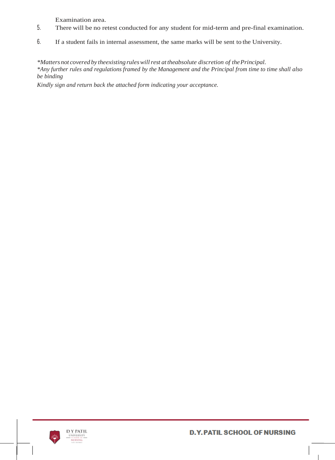Examination area.

- 5. There will be no retest conducted for any student for mid-term and pre-final examination.
- 6. If a student fails in internal assessment, the same marks will be sent to the University.

*\*Matters not covered by theexisting ruleswillrest at theabsolute discretion of thePrincipal. \*Any further rules and regulations framed by the Management and the Principal from time to time shall also be binding*

*Kindly sign and return back the attached form indicating your acceptance.*

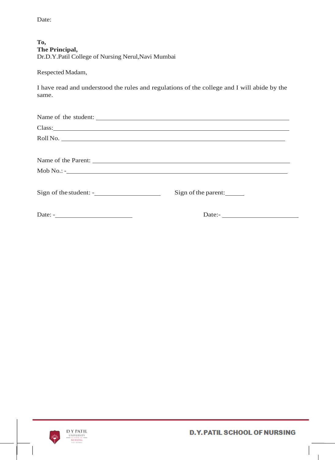Date:

| To,                                                |
|----------------------------------------------------|
| The Principal,                                     |
| Dr.D.Y.Patil College of Nursing Nerul, Navi Mumbai |

Respected Madam,

I have read and understood the rules and regulations of the college and I will abide by the same.

| Name of the student: |                        |
|----------------------|------------------------|
|                      |                        |
| Roll No.             |                        |
|                      |                        |
|                      |                        |
| $\text{Mob No.:}$ -  |                        |
|                      | Sign of the parent:    |
|                      | Date:- $\qquad \qquad$ |



 $\overline{\phantom{a}}$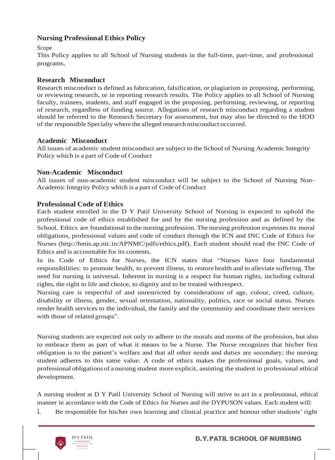## **Nursing Professional Ethics Policy**

#### Scope

This Policy applies to all School of Nursing students in the full-time, part-time, and professional programs.

#### **Research Misconduct**

Research misconduct is defined as fabrication, falsification, or plagiarism in proposing, performing, or reviewing research, or in reporting research results. The Policy applies to all School of Nursing faculty, trainees, students, and staff engaged in the proposing, performing, reviewing, or reporting of research, regardless of funding source. Allegations of research misconduct regarding a student should be referred to the Research Secretary for assessment, but may also be directed to the HOD of the responsible Specialty where the alleged research misconduct occurred.

#### **Academic Misconduct**

All issues of academic student misconduct are subject to the School of Nursing Academic Integrity Policy which is a part of Code of Conduct

#### **Non-Academic Misconduct**

All issues of non-academic student misconduct will be subject to the School of Nursing Non-Academic Integrity Policy which is a part of Code of Conduct

#### **Professional Code of Ethics**

Each student enrolled in the D Y Patil University School of Nursing is expected to uphold the professional code of ethics established for and by the nursing profession and as defined by the School. Ethics are foundational to the nursing profession. The nursing profession expresses its moral obligations, professional values and code of conduct through the ICN and INC Code of Ethics for Nurses [\(http://hmis.ap.nic.in/APNMC/pdfs/ethics.pdf\).](http://hmis.ap.nic.in/APNMC/pdfs/ethics.pdf)) Each student should read the INC Code of Ethics and is accountable for its contents.

In its Code of Ethics for Nurses, the ICN states that "Nurses have four fundamental responsibilities: to promote health, to prevent illness, to restore health and to alleviate suffering. The need for nursing is universal. Inherent in nursing is a respect for human rights, including cultural rights, the right to life and choice, to dignity and to be treated with respect.

Nursing care is respectful of and unrestricted by considerations of age, colour, creed, culture, disability or illness, gender, sexual orientation, nationality, politics, race or social status. Nurses render health services to the individual, the family and the community and coordinate their services with those of related groups".

Nursing students are expected not only to adhere to the morals and norms of the profession, but also to embrace them as part of what it means to be a Nurse. The Nurse recognizes that his/her first obligation is to the patient's welfare and that all other needs and duties are secondary; the nursing student adheres to this same value. A code of ethics makes the professional goals, values, and professional obligations of a nursing student more explicit, assisting the student in professional ethical development.

A nursing student at D Y Patil University School of Nursing will strive to act in a professional, ethical manner in accordance with the Code of Ethics for Nurses and the DYPUSON values. Each student will:

1. Be responsible for his/her own learning and clinical practice and honour other students' right

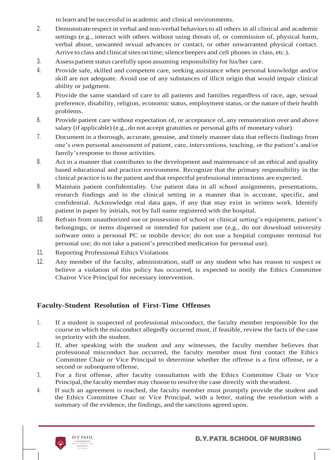to learn and be successful in academic and clinical environments.

- 2. Demonstrate respect in verbal and non-verbal behaviorsto all others in all clinical and academic settings (e.g., interact with others without using threats of, or commission of, physical harm, verbal abuse, unwanted sexual advances or contact, or other unwarranted physical contact. Arrive to class and clinical sites on time; silence beepers and cell phones in class, etc.).
- 3. Assess patient status carefully upon assuming responsibility for his/her care.
- 4. Provide safe, skilled and competent care, seeking assistance when personal knowledge and/or skill are not adequate. Avoid use of any substances of illicit origin that would impair clinical ability or judgment.
- 5. Provide the same standard of care to all patients and families regardless of race, age, sexual preference, disability, religion, economic status, employment status, or the nature of their health problems.
- 6. Provide patient care without expectation of, or acceptance of, any remuneration over and above salary (if applicable) (e.g., do not accept gratuities or personal gifts of monetary value).
- 7. Document in a thorough, accurate, genuine, and timely manner data that reflects findings from one's own personal assessment of patient, care, interventions, teaching, or the patient's and/or family'sresponse to those activities.
- 8. Act in a manner that contributes to the development and maintenance of an ethical and quality based educational and practice environment. Recognize that the primary responsibility in the clinical practice isto the patient and that respectful professional interactions are expected.
- 9. Maintain patient confidentiality. Use patient data in all school assignments, presentations, research findings and in the clinical setting in a manner that is accurate, specific, and confidential. Acknowledge real data gaps, if any that may exist in written work. Identify patient in paper by initials, not by full name registered with the hospital.
- 10. Refrain from unauthorized use or possession of school or clinical setting's equipment, patient's belongings, or items dispersed or intended for patient use (e.g., do not download university software onto a personal PC or mobile device; do not use a hospital computer terminal for personal use; do not take a patient's prescribed medication for personal use).
- 11. Reporting Professional Ethics Violations
- 12. Any member of the faculty, administration, staff or any student who has reason to suspect or believe a violation of this policy has occurred, is expected to notify the Ethics Committee Chairor Vice Principal for necessary intervention.

# **Faculty-Student Resolution of First-Time Offenses**

- 1. If a student is suspected of professional misconduct, the faculty member responsible for the course in which themisconduct allegedly occurred must, if feasible, review the facts of the case in priority with the student.
- 2. If, after speaking with the student and any witnesses, the faculty member believes that professional misconduct has occurred, the faculty member must first contact the Ethics Committee Chair or Vice Principal to determine whether the offense is a first offense, or a second or subsequent offense.
- 3. For a first offense, after faculty consultation with the Ethics Committee Chair or Vice Principal, the faculty member may choose to resolve the case directly with the student.
- 4. If such an agreement is reached, the faculty member must promptly provide the student and the Ethics Committee Chair or Vice Principal, with a letter, stating the resolution with a summary of the evidence, the findings, and the sanctions agreed upon.

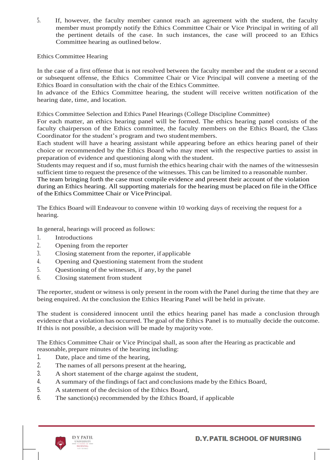5. If, however, the faculty member cannot reach an agreement with the student, the faculty member must promptly notify the Ethics Committee Chair or Vice Principal in writing of all the pertinent details of the case. In such instances, the case will proceed to an Ethics Committee hearing as outlined below.

Ethics Committee Hearing

In the case of a first offense that is not resolved between the faculty member and the student or a second or subsequent offense, the Ethics Committee Chair or Vice Principal will convene a meeting of the Ethics Board in consultation with the chair of the Ethics Committee.

In advance of the Ethics Committee hearing, the student will receive written notification of the hearing date, time, and location.

Ethics Committee Selection and Ethics Panel Hearings (College Discipline Committee)

For each matter, an ethics hearing panel will be formed. The ethics hearing panel consists of the faculty chairperson of the Ethics committee, the faculty members on the Ethics Board, the Class Coordinator for the student's program and two student members.

Each student will have a hearing assistant while appearing before an ethics hearing panel of their choice or recommended by the Ethics Board who may meet with the respective parties to assist in preparation of evidence and questioning along with the student.

Students may request and if so, must furnish the ethics hearing chair with the names of the witnessesin sufficient time to request the presence of the witnesses. This can be limited to a reasonable number. The team bringing forth the case must compile evidence and present their account of the violation during an Ethics hearing. All supporting materials for the hearing must be placed on file in the Office of the Ethics Committee Chair or VicePrincipal.

The Ethics Board will Endeavour to convene within 10 working days of receiving the request for a hearing.

In general, hearings will proceed as follows:

- 1. Introductions
- 2. Opening from the reporter
- 3. Closing statement from the reporter, if applicable
- 4. Opening and Questioning statement from the student
- 5. Questioning of the witnesses, if any, by the panel
- 6. Closing statement from student

The reporter, student or witness is only present in the room with the Panel during the time that they are being enquired. At the conclusion the Ethics Hearing Panel will be held in private.

The student is considered innocent until the ethics hearing panel has made a conclusion through evidence that a violation has occurred. The goal of the Ethics Panel is to mutually decide the outcome. If this is not possible, a decision will be made by majority vote.

The Ethics Committee Chair or Vice Principal shall, as soon after the Hearing as practicable and reasonable, prepare minutes of the hearing including:

- 1. Date, place and time of the hearing,
- 2. The names of all persons present at the hearing,
- 3. A short statement of the charge against the student,
- 4. A summary of the findings of fact and conclusions made by the Ethics Board,
- 5. A statement of the decision of the Ethics Board,
- 6. The sanction(s) recommended by the Ethics Board, if applicable

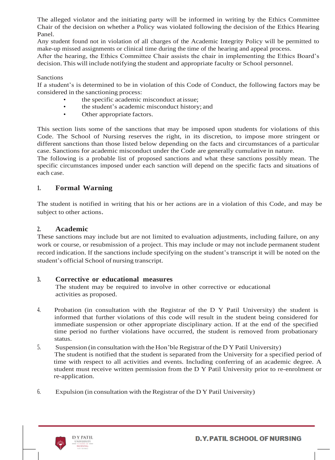The alleged violator and the initiating party will be informed in writing by the Ethics Committee Chair of the decision on whether a Policy was violated following the decision of the Ethics Hearing Panel.

Any student found not in violation of all charges of the Academic Integrity Policy will be permitted to make-up missed assignments or clinical time during the time of the hearing and appeal process.

After the hearing, the Ethics Committee Chair assists the chair in implementing the Ethics Board's decision. This will include notifying the student and appropriate faculty or School personnel.

#### Sanctions

If a student's is determined to be in violation of this Code of Conduct, the following factors may be considered in the sanctioning process:

- the specific academic misconduct atissue;
- the student's academic misconduct history; and
- Other appropriate factors.

This section lists some of the sanctions that may be imposed upon students for violations of this Code. The School of Nursing reserves the right, in its discretion, to impose more stringent or different sanctions than those listed below depending on the facts and circumstances of a particular case. Sanctions for academic misconduct under the Code are generally cumulative in nature.

The following is a probable list of proposed sanctions and what these sanctions possibly mean. The specific circumstances imposed under each sanction will depend on the specific facts and situations of each case.

#### **1. Formal Warning**

The student is notified in writing that his or her actions are in a violation of this Code, and may be subject to other actions.

#### **2. Academic**

These sanctions may include but are not limited to evaluation adjustments, including failure, on any work or course, or resubmission of a project. This may include or may not include permanent student record indication. If the sanctions include specifying on the student's transcript it will be noted on the student's official School of nursing transcript.

#### **3. Corrective or educational measures**

The student may be required to involve in other corrective or educational activities as proposed.

- 4. Probation (in consultation with the Registrar of the D Y Patil University) the student is informed that further violations of this code will result in the student being considered for immediate suspension or other appropriate disciplinary action. If at the end of the specified time period no further violations have occurred, the student is removed from probationary status.
- 5. Suspension (in consultation with the Hon'ble Registrar of the D Y Patil University) The student is notified that the student is separated from the University for a specified period of time with respect to all activities and events. Including conferring of an academic degree. A student must receive written permission from the D Y Patil University prior to re-enrolment or re-application.
- 6. Expulsion (in consultation with theRegistrar of the D Y Patil University)

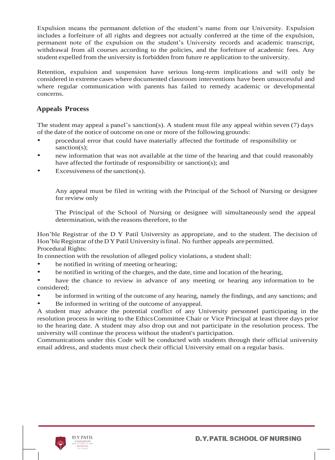Expulsion means the permanent deletion of the student's name from our University. Expulsion includes a forfeiture of all rights and degrees not actually conferred at the time of the expulsion, permanent note of the expulsion on the student's University records and academic transcript, withdrawal from all courses according to the policies, and the forfeiture of academic fees. Any student expelled from the university is forbidden from future re application to the university.

Retention, expulsion and suspension have serious long-term implications and will only be considered in extreme cases where documented classroom interventions have been unsuccessful and where regular communication with parents has failed to remedy academic or developmental concerns.

#### **Appeals Process**

The student may appeal a panel's sanction(s). A student must file any appeal within seven (7) days of the date of the notice of outcome on one or more of the following grounds:

- procedural error that could have materially affected the fortitude of responsibility or sanction(s):
- new information that was not available at the time of the hearing and that could reasonably have affected the fortitude of responsibility or sanction(s); and
- Excessiveness of the sanction(s).

Any appeal must be filed in writing with the Principal of the School of Nursing or designee for review only

The Principal of the School of Nursing or designee will simultaneously send the appeal determination, with the reasons therefore, to the

Hon'ble Registrar of the D Y Patil University as appropriate, and to the student. The decision of Hon'ble Registrar of the DYPatil University is final. No further appeals are permitted. Procedural Rights:

In connection with the resolution of alleged policy violations, a student shall:

- be notified in writing of meeting or hearing;
- be notified in writing of the charges, and the date, time and location of the hearing,

have the chance to review in advance of any meeting or hearing any information to be considered;

- be informed in writing of the outcome of any hearing, namely the findings, and any sanctions; and
- Be informed in writing of the outcome of anyappeal.

A student may advance the potential conflict of any University personnel participating in the resolution process in writing to the EthicsCommittee Chair or Vice Principal at least three days prior to the hearing date. A student may also drop out and not participate in the resolution process. The university will continue the process without the student's participation.

Communications under this Code will be conducted with students through their official university email address, and students must check their official University email on a regular basis.